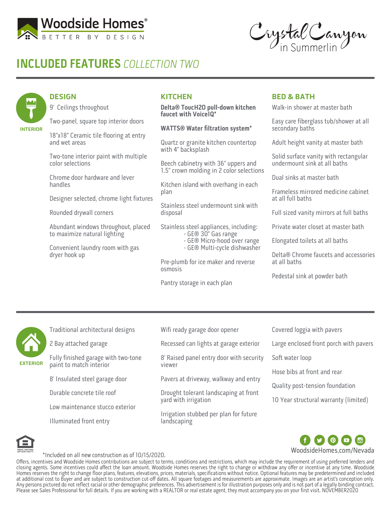

# **INCLUDED FEATURES** COLLECTION TWO

Crystal Canyon

### **DESIGN**

**INTERIOR**

9' Ceilings throughout

Two-panel, square top interior doors

18"x18" Ceramic tile flooring at entry and wet areas

Two-tone interior paint with multiple color selections

Chrome door hardware and lever handles

Designer selected, chrome light fixtures

Rounded drywall corners

Abundant windows throughout, placed to maximize natural lighting

Convenient laundry room with gas dryer hook up

### **KITCHEN**

**Delta® ToucH2O pull-down kitchen faucet with VoiceIQ\***

#### **WATTS® Water filtration system\***

Quartz or granite kitchen countertop with 4" backsplash

Beech cabinetry with 36" uppers and 1.5" crown molding in 2 color selections

Kitchen island with overhang in each plan

Stainless steel undermount sink with disposal

Stainless steel appliances, including:

- GE® 30" Gas range
- GE® Micro-hood over range
- GE® Multi-cycle dishwasher

Pre-plumb for ice maker and reverse osmosis

Pantry storage in each plan

#### **BED & BATH**

Walk-in shower at master bath

Easy care fiberglass tub/shower at all secondary baths

Adult height vanity at master bath

Solid surface vanity with rectangular undermount sink at all baths

Dual sinks at master bath

Frameless mirrored medicine cabinet at all full baths

Full sized vanity mirrors at full baths

Private water closet at master bath

Elongated toilets at all baths

Delta® Chrome faucets and accessories at all baths

Pedestal sink at powder bath



Traditional architectural designs

2 Bay attached garage

Fully finished garage with two-tone paint to match interior

8' Insulated steel garage door

Durable concrete tile roof

Low maintenance stucco exterior

Illuminated front entry

Wifi ready garage door opener

Recessed can lights at garage exterior

8' Raised panel entry door with security viewer

Pavers at driveway, walkway and entry

Drought tolerant landscaping at front yard with irrigation

Irrigation stubbed per plan for future landscaping

Covered loggia with pavers

Large enclosed front porch with pavers

Soft water loop

Hose bibs at front and rear

Quality post-tension foundation

10 Year structural warranty (limited)





\*Included on all new construction as of 10/15/2020.

Offers, incentives and Woodside Homes contributions are subject to terms, conditions and restrictions, which may include the requirement of using preferred lenders and closing agents. Some incentives could affect the loan amount. Woodside Homes reserves the right to change or withdraw any offer or incentive at any time. Woodside Homes reserves the right to change floor plans, features, elevations, prices, materials, specifications without notice. Optional features may be predetermined and included at additional cost to Buyer and are subject to construction cut-off dates. All square footages and measurements are approximate. Images are an artist's conception only. Any persons pictured do not reflect racial or other demographic preferences. This advertisement is for illustration purposes only and is not part of a legally binding contract. Please see Sales Professional for full details. If you are working with a REALTOR or real estate agent, they must accompany you on your first visit. NOVEMBER2020